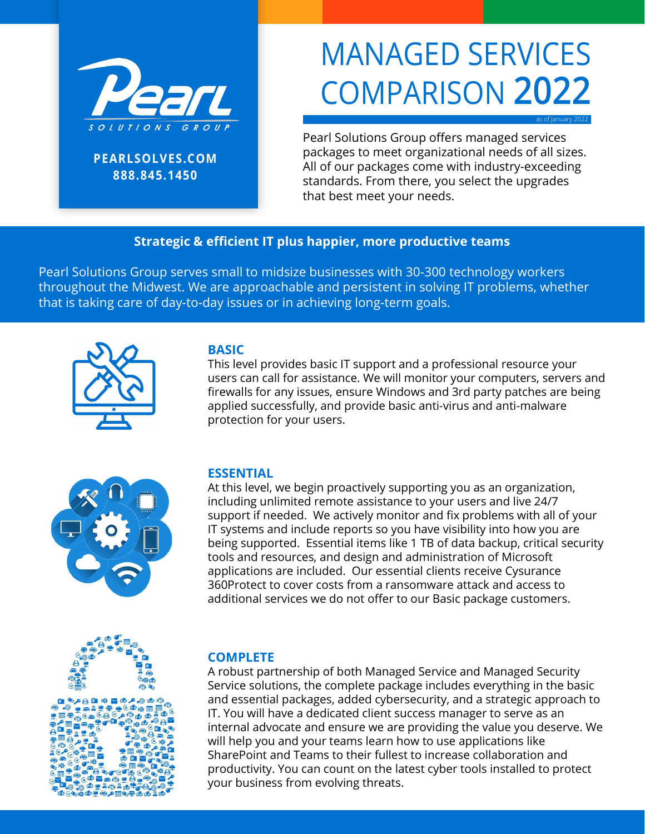

PEARLSOLVES.COM 888.845.1450

# MANAGED SERVICES COMPARISON 2022

as of January 2022

Pearl Solutions Group offers managed services packages to meet organizational needs of all sizes. All of our packages come with industry-exceeding standards. From there, you select the upgrades that best meet your needs.

### Strategic & efficient IT plus happier, more productive teams

Pearl Solutions Group serves small to midsize businesses with 30-300 technology workers throughout the Midwest. We are approachable and persistent in solving IT problems, whether that is taking care of day-to-day issues or in achieving long-term goals.



### **BASIC**

This level provides basic IT support and a professional resource your users can call for assistance. We will monitor your computers, servers and firewalls for any issues, ensure Windows and 3rd party patches are being applied successfully, and provide basic anti-virus and anti-malware protection for your users.



### ESSENTIAL

At this level, we begin proactively supporting you as an organization, including unlimited remote assistance to your users and live 24/7 support if needed. We actively monitor and fix problems with all of your IT systems and include reports so you have visibility into how you are being supported. Essential items like 1 TB of data backup, critical security tools and resources, and design and administration of Microsoft applications are included. Our essential clients receive Cysurance 360Protect to cover costs from a ransomware attack and access to additional services we do not offer to our Basic package customers.

### **COMPLETE**

A robust partnership of both Managed Service and Managed Security Service solutions, the complete package includes everything in the basic and essential packages, added cybersecurity, and a strategic approach to IT. You will have a dedicated client success manager to serve as an internal advocate and ensure we are providing the value you deserve. We will help you and your teams learn how to use applications like SharePoint and Teams to their fullest to increase collaboration and productivity. You can count on the latest cyber tools installed to protect your business from evolving threats.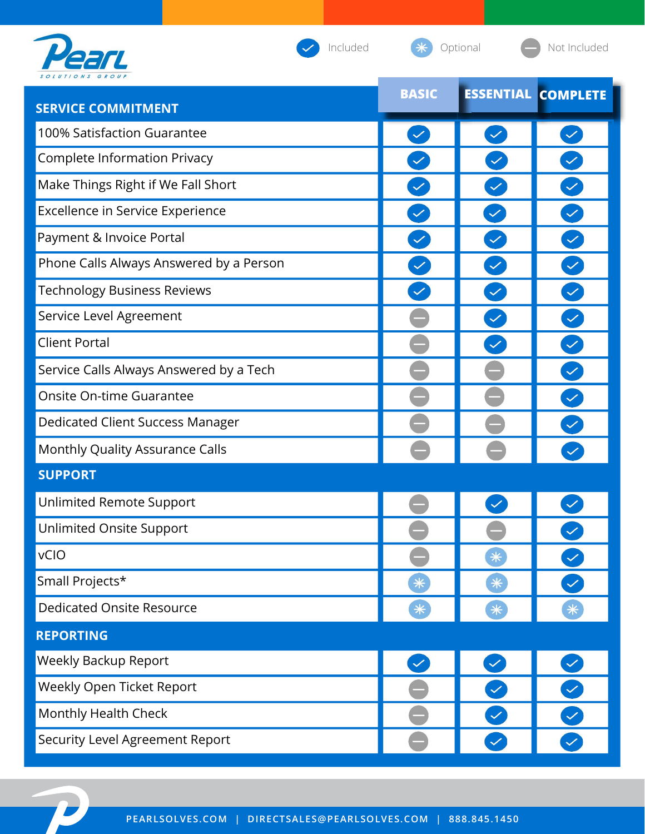

Included **\*** Optional • Not Included

| <b>SERVICE COMMITMENT</b>               | <b>BASIC</b> |              | <b>ESSENTIAL COMPLETE</b> |
|-----------------------------------------|--------------|--------------|---------------------------|
| 100% Satisfaction Guarantee             | $\checkmark$ | $\checkmark$ | $\checkmark$              |
| <b>Complete Information Privacy</b>     | $\checkmark$ |              |                           |
| Make Things Right if We Fall Short      |              |              |                           |
| Excellence in Service Experience        |              |              |                           |
| Payment & Invoice Portal                |              |              |                           |
| Phone Calls Always Answered by a Person |              |              |                           |
| <b>Technology Business Reviews</b>      |              |              |                           |
| Service Level Agreement                 |              | $\checkmark$ |                           |
| <b>Client Portal</b>                    |              |              |                           |
| Service Calls Always Answered by a Tech |              |              |                           |
| Onsite On-time Guarantee                |              |              |                           |
| Dedicated Client Success Manager        |              |              |                           |
| Monthly Quality Assurance Calls         |              |              |                           |
| <b>SUPPORT</b>                          |              |              |                           |
| Unlimited Remote Support                |              |              |                           |
| Unlimited Onsite Support                |              |              |                           |
| <b>vCIO</b>                             |              | $*$          | $\checkmark$              |
| Small Projects*                         | $*$          | $*$          | $\checkmark$              |
| <b>Dedicated Onsite Resource</b>        | $*$          | $*$          | $*$                       |
| <b>REPORTING</b>                        |              |              |                           |
| <b>Weekly Backup Report</b>             | $\checkmark$ | $\checkmark$ | $\blacktriangledown$      |
| Weekly Open Ticket Report               |              | $\checkmark$ | $\checkmark$              |
| Monthly Health Check                    |              | $\checkmark$ | $\blacktriangledown$      |
| Security Level Agreement Report         |              | $\checkmark$ |                           |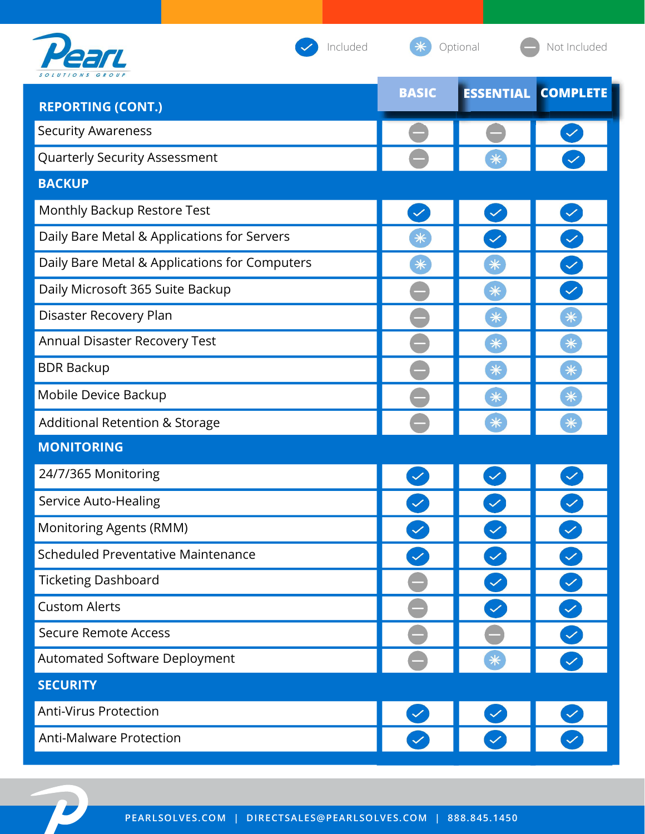

Included **\*** Optional • Not Included

| <b>REPORTING (CONT.)</b>                      | <b>BASIC</b> |              | <b>ESSENTIAL COMPLETE</b> |
|-----------------------------------------------|--------------|--------------|---------------------------|
| <b>Security Awareness</b>                     |              |              |                           |
| Quarterly Security Assessment                 |              | $\ast$       |                           |
| <b>BACKUP</b>                                 |              |              |                           |
| Monthly Backup Restore Test                   | $\checkmark$ |              |                           |
| Daily Bare Metal & Applications for Servers   | $*$          | $\checkmark$ |                           |
| Daily Bare Metal & Applications for Computers | $*$          | $*$          |                           |
| Daily Microsoft 365 Suite Backup              |              | $*$          |                           |
| Disaster Recovery Plan                        |              | $*$          | $*$                       |
| Annual Disaster Recovery Test                 |              | $*$          | $*$                       |
| <b>BDR Backup</b>                             |              | $*$          | $*$                       |
| Mobile Device Backup                          |              | $*$          | $*$                       |
| <b>Additional Retention &amp; Storage</b>     |              | $*$          | $*$                       |
| <b>MONITORING</b>                             |              |              |                           |
| 24/7/365 Monitoring                           |              |              |                           |
| Service Auto-Healing                          |              |              |                           |
| <b>Monitoring Agents (RMM)</b>                |              |              |                           |
| Scheduled Preventative Maintenance            | $\checkmark$ | $\checkmark$ | $\overline{\vee}$         |
| <b>Ticketing Dashboard</b>                    |              | $\checkmark$ |                           |
| <b>Custom Alerts</b>                          |              |              |                           |
| <b>Secure Remote Access</b>                   |              |              |                           |
| Automated Software Deployment                 |              | $*$          |                           |
| <b>SECURITY</b>                               |              |              |                           |
| <b>Anti-Virus Protection</b>                  | $\checkmark$ | $\checkmark$ |                           |
| <b>Anti-Malware Protection</b>                | $\checkmark$ |              |                           |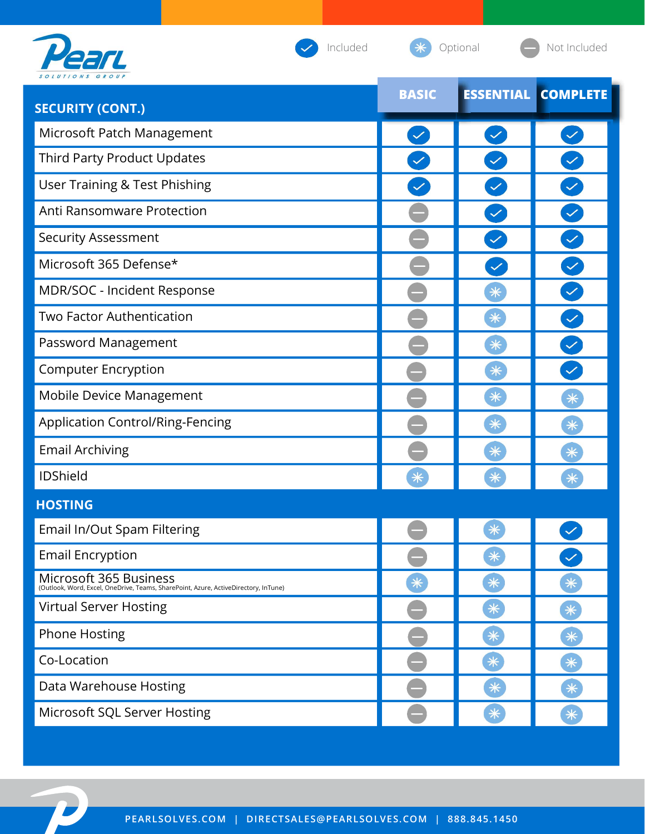| Included                                                                                                      |              | Optional         | Not Included    |
|---------------------------------------------------------------------------------------------------------------|--------------|------------------|-----------------|
| <b>SECURITY (CONT.)</b>                                                                                       | <b>BASIC</b> | <b>ESSENTIAL</b> | <b>COMPLETE</b> |
| Microsoft Patch Management                                                                                    | $\checkmark$ | $\checkmark$     |                 |
| Third Party Product Updates                                                                                   |              |                  |                 |
| <b>User Training &amp; Test Phishing</b>                                                                      |              |                  |                 |
| Anti Ransomware Protection                                                                                    |              | $\checkmark$     |                 |
| Security Assessment                                                                                           |              |                  |                 |
| Microsoft 365 Defense*                                                                                        |              | $\checkmark$     |                 |
| MDR/SOC - Incident Response                                                                                   |              | $*$              |                 |
| <b>Two Factor Authentication</b>                                                                              |              | $*$              |                 |
| Password Management                                                                                           |              | $*$              |                 |
| <b>Computer Encryption</b>                                                                                    |              | $*$              | $\checkmark$    |
| Mobile Device Management                                                                                      |              | $*$              | $\ast$          |
| <b>Application Control/Ring-Fencing</b>                                                                       |              | $*$              | $*$             |
| <b>Email Archiving</b>                                                                                        |              | $*$              | $\ast$          |
| <b>IDShield</b>                                                                                               | $*$          | $\ast$           | $\ast$          |
| <b>HOSTING</b>                                                                                                |              |                  |                 |
| Email In/Out Spam Filtering                                                                                   |              | $*$              |                 |
| <b>Email Encryption</b>                                                                                       |              | $\ast$           |                 |
| Microsoft 365 Business<br>(Outlook, Word, Excel, OneDrive, Teams, SharePoint, Azure, ActiveDirectory, InTune) | $\ast$       | $*$              | $\ast$          |
| <b>Virtual Server Hosting</b>                                                                                 |              | $\ast$           | $*$             |
| <b>Phone Hosting</b>                                                                                          |              | $\ast$           | $*$             |
| Co-Location                                                                                                   |              | $*$              | $*$             |
| Data Warehouse Hosting                                                                                        |              | $\ast$           | $*$             |
| Microsoft SQL Server Hosting                                                                                  |              | $*$              | $*$             |